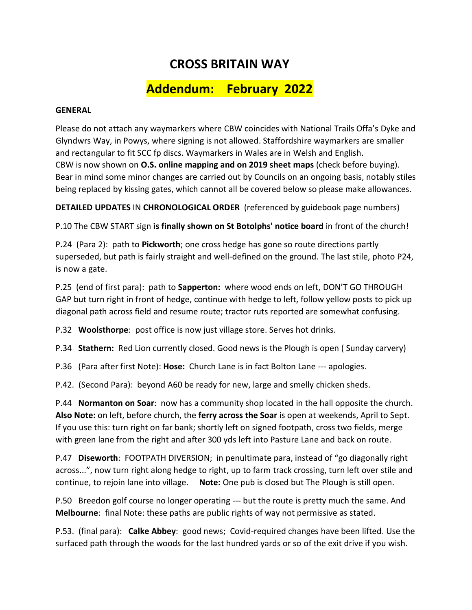## **CROSS BRITAIN WAY**

## **Addendum: February 2022**

## **GENERAL**

Please do not attach any waymarkers where CBW coincides with National Trails Offa's Dyke and Glyndwrs Way, in Powys, where signing is not allowed. Staffordshire waymarkers are smaller and rectangular to fit SCC fp discs. Waymarkers in Wales are in Welsh and English. CBW is now shown on **O.S. online mapping and on 2019 sheet maps** (check before buying). Bear in mind some minor changes are carried out by Councils on an ongoing basis, notably stiles being replaced by kissing gates, which cannot all be covered below so please make allowances.

**DETAILED UPDATES** IN **CHRONOLOGICAL ORDER** (referenced by guidebook page numbers)

P.10 The CBW START sign **is finally shown on St Botolphs' notice board** in front of the church!

P**.**24 (Para 2): path to **Pickworth**; one cross hedge has gone so route directions partly superseded, but path is fairly straight and well-defined on the ground. The last stile, photo P24, is now a gate.

P.25 (end of first para): path to **Sapperton:** where wood ends on left, DON'T GO THROUGH GAP but turn right in front of hedge, continue with hedge to left, follow yellow posts to pick up diagonal path across field and resume route; tractor ruts reported are somewhat confusing.

P.32 **Woolsthorpe**: post office is now just village store. Serves hot drinks.

P.34 **Stathern:** Red Lion currently closed. Good news is the Plough is open ( Sunday carvery)

P.36 (Para after first Note): **Hose:** Church Lane is in fact Bolton Lane --- apologies.

P.42. (Second Para): beyond A60 be ready for new, large and smelly chicken sheds.

P.44 **Normanton on Soar**: now has a community shop located in the hall opposite the church. **Also Note:** on left, before church, the **ferry across the Soar** is open at weekends, April to Sept. If you use this: turn right on far bank; shortly left on signed footpath, cross two fields, merge with green lane from the right and after 300 yds left into Pasture Lane and back on route.

P.47 **Diseworth**: FOOTPATH DIVERSION; in penultimate para, instead of "go diagonally right across...", now turn right along hedge to right, up to farm track crossing, turn left over stile and continue, to rejoin lane into village. **Note:** One pub is closed but The Plough is still open.

P.50 Breedon golf course no longer operating --- but the route is pretty much the same. And **Melbourne**: final Note: these paths are public rights of way not permissive as stated.

P.53. (final para): **Calke Abbey**: good news; Covid-required changes have been lifted. Use the surfaced path through the woods for the last hundred yards or so of the exit drive if you wish.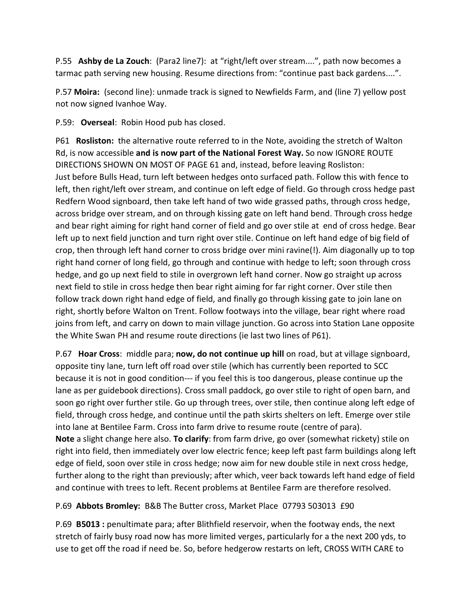P.55 **Ashby de La Zouch**: (Para2 line7): at "right/left over stream....", path now becomes a tarmac path serving new housing. Resume directions from: "continue past back gardens....".

P.57 **Moira:** (second line): unmade track is signed to Newfields Farm, and (line 7) yellow post not now signed Ivanhoe Way.

P.59: **Overseal**: Robin Hood pub has closed.

P61 **Rosliston:** the alternative route referred to in the Note, avoiding the stretch of Walton Rd, is now accessible **and is now part of the National Forest Way.** So now IGNORE ROUTE DIRECTIONS SHOWN ON MOST OF PAGE 61 and, instead, before leaving Rosliston: Just before Bulls Head, turn left between hedges onto surfaced path. Follow this with fence to left, then right/left over stream, and continue on left edge of field. Go through cross hedge past Redfern Wood signboard, then take left hand of two wide grassed paths, through cross hedge, across bridge over stream, and on through kissing gate on left hand bend. Through cross hedge and bear right aiming for right hand corner of field and go over stile at end of cross hedge. Bear left up to next field junction and turn right over stile. Continue on left hand edge of big field of crop, then through left hand corner to cross bridge over mini ravine(!). Aim diagonally up to top right hand corner of long field, go through and continue with hedge to left; soon through cross hedge, and go up next field to stile in overgrown left hand corner. Now go straight up across next field to stile in cross hedge then bear right aiming for far right corner. Over stile then follow track down right hand edge of field, and finally go through kissing gate to join lane on right, shortly before Walton on Trent. Follow footways into the village, bear right where road joins from left, and carry on down to main village junction. Go across into Station Lane opposite the White Swan PH and resume route directions (ie last two lines of P61).

P.67 **Hoar Cross**: middle para; **now, do not continue up hill** on road, but at village signboard, opposite tiny lane, turn left off road over stile (which has currently been reported to SCC because it is not in good condition--- if you feel this is too dangerous, please continue up the lane as per guidebook directions). Cross small paddock, go over stile to right of open barn, and soon go right over further stile. Go up through trees, over stile, then continue along left edge of field, through cross hedge, and continue until the path skirts shelters on left. Emerge over stile into lane at Bentilee Farm. Cross into farm drive to resume route (centre of para). **Note** a slight change here also. **To clarify**: from farm drive, go over (somewhat rickety) stile on right into field, then immediately over low electric fence; keep left past farm buildings along left edge of field, soon over stile in cross hedge; now aim for new double stile in next cross hedge, further along to the right than previously; after which, veer back towards left hand edge of field and continue with trees to left. Recent problems at Bentilee Farm are therefore resolved.

P.69 **Abbots Bromley:** B&B The Butter cross, Market Place 07793 503013 £90

P.69 **B5013 :** penultimate para; after Blithfield reservoir, when the footway ends, the next stretch of fairly busy road now has more limited verges, particularly for a the next 200 yds, to use to get off the road if need be. So, before hedgerow restarts on left, CROSS WITH CARE to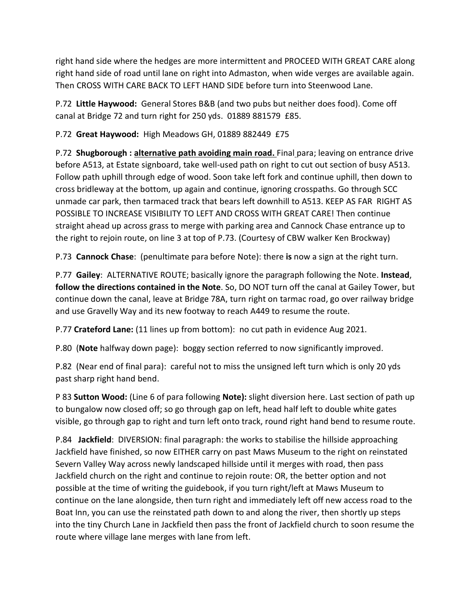right hand side where the hedges are more intermittent and PROCEED WITH GREAT CARE along right hand side of road until lane on right into Admaston, when wide verges are available again. Then CROSS WITH CARE BACK TO LEFT HAND SIDE before turn into Steenwood Lane.

P.72 **Little Haywood:** General Stores B&B (and two pubs but neither does food). Come off canal at Bridge 72 and turn right for 250 yds. 01889 881579 £85.

P.72 **Great Haywood:** High Meadows GH, 01889 882449 £75

P.72 **Shugborough : alternative path avoiding main road.** Final para; leaving on entrance drive before A513, at Estate signboard, take well-used path on right to cut out section of busy A513. Follow path uphill through edge of wood. Soon take left fork and continue uphill, then down to cross bridleway at the bottom, up again and continue, ignoring crosspaths. Go through SCC unmade car park, then tarmaced track that bears left downhill to A513. KEEP AS FAR RIGHT AS POSSIBLE TO INCREASE VISIBILITY TO LEFT AND CROSS WITH GREAT CARE! Then continue straight ahead up across grass to merge with parking area and Cannock Chase entrance up to the right to rejoin route, on line 3 at top of P.73. (Courtesy of CBW walker Ken Brockway)

P.73 **Cannock Chase**: (penultimate para before Note): there **is** now a sign at the right turn.

P.77 **Gailey**: ALTERNATIVE ROUTE; basically ignore the paragraph following the Note. **Instead**, **follow the directions contained in the Note**. So, DO NOT turn off the canal at Gailey Tower, but continue down the canal, leave at Bridge 78A, turn right on tarmac road, go over railway bridge and use Gravelly Way and its new footway to reach A449 to resume the route.

P.77 **Crateford Lane:** (11 lines up from bottom): no cut path in evidence Aug 2021.

P.80 (**Note** halfway down page): boggy section referred to now significantly improved.

P.82 (Near end of final para): careful not to miss the unsigned left turn which is only 20 yds past sharp right hand bend.

P 83 **Sutton Wood:** (Line 6 of para following **Note):** slight diversion here. Last section of path up to bungalow now closed off; so go through gap on left, head half left to double white gates visible, go through gap to right and turn left onto track, round right hand bend to resume route.

P.84 **Jackfield**: DIVERSION: final paragraph: the works to stabilise the hillside approaching Jackfield have finished, so now EITHER carry on past Maws Museum to the right on reinstated Severn Valley Way across newly landscaped hillside until it merges with road, then pass Jackfield church on the right and continue to rejoin route: OR, the better option and not possible at the time of writing the guidebook, if you turn right/left at Maws Museum to continue on the lane alongside, then turn right and immediately left off new access road to the Boat Inn, you can use the reinstated path down to and along the river, then shortly up steps into the tiny Church Lane in Jackfield then pass the front of Jackfield church to soon resume the route where village lane merges with lane from left.